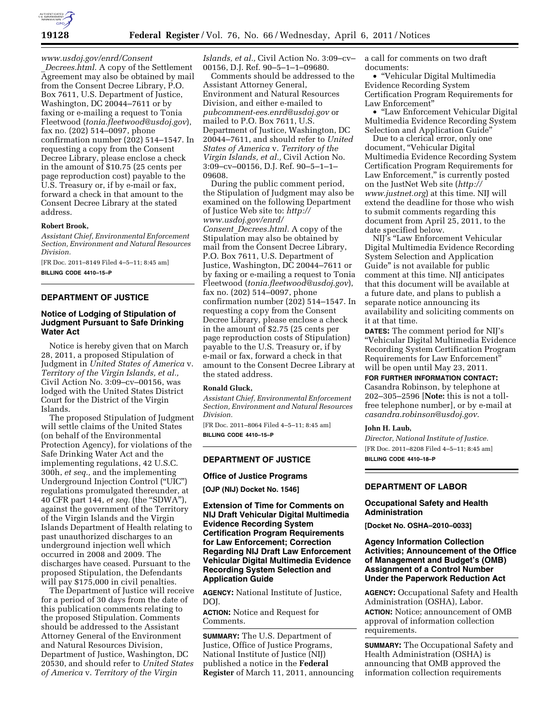

# *[www.usdoj.gov/enrd/Consent](http://www.usdoj.gov/enrd/Consent_Decrees.html)*

\_*[Decrees.html.](http://www.usdoj.gov/enrd/Consent_Decrees.html)* A copy of the Settlement Agreement may also be obtained by mail from the Consent Decree Library, P.O. Box 7611, U.S. Department of Justice, Washington, DC 20044–7611 or by faxing or e-mailing a request to Tonia Fleetwood (*[tonia.fleetwood@usdoj.gov](mailto:tonia.fleetwood@usdoj.gov)*), fax no. (202) 514–0097, phone confirmation number  $(202)$  514–1547. In requesting a copy from the Consent Decree Library, please enclose a check in the amount of \$10.75 (25 cents per page reproduction cost) payable to the U.S. Treasury or, if by e-mail or fax, forward a check in that amount to the Consent Decree Library at the stated address.

#### **Robert Brook,**

*Assistant Chief, Environmental Enforcement Section, Environment and Natural Resources Division.* 

[FR Doc. 2011–8149 Filed 4–5–11; 8:45 am] **BILLING CODE 4410–15–P** 

## **DEPARTMENT OF JUSTICE**

### **Notice of Lodging of Stipulation of Judgment Pursuant to Safe Drinking Water Act**

Notice is hereby given that on March 28, 2011, a proposed Stipulation of Judgment in *United States of America* v. *Territory of the Virgin Islands, et al.,*  Civil Action No. 3:09–cv–00156, was lodged with the United States District Court for the District of the Virgin Islands.

The proposed Stipulation of Judgment will settle claims of the United States (on behalf of the Environmental Protection Agency), for violations of the Safe Drinking Water Act and the implementing regulations, 42 U.S.C. 300h, *et seq.,* and the implementing Underground Injection Control (''UIC'') regulations promulgated thereunder, at 40 CFR part 144, *et seq.* (the ''SDWA''), against the government of the Territory of the Virgin Islands and the Virgin Islands Department of Health relating to past unauthorized discharges to an underground injection well which occurred in 2008 and 2009. The discharges have ceased. Pursuant to the proposed Stipulation, the Defendants will pay \$175,000 in civil penalties.

The Department of Justice will receive for a period of 30 days from the date of this publication comments relating to the proposed Stipulation. Comments should be addressed to the Assistant Attorney General of the Environment and Natural Resources Division, Department of Justice, Washington, DC 20530, and should refer to *United States of America* v. *Territory of the Virgin* 

*Islands, et al.,* Civil Action No. 3:09–cv– 00156, D.J. Ref. 90–5–1–1–09680.

Comments should be addressed to the Assistant Attorney General, Environment and Natural Resources Division, and either e-mailed to *[pubcomment-ees.enrd@usdoj.gov](mailto:pubcomment-ees.enrd@usdoj.gov)* or mailed to P.O. Box 7611, U.S. Department of Justice, Washington, DC 20044–7611, and should refer to *United States of America* v. *Territory of the Virgin Islands, et al.,* Civil Action No. 3:09–cv–00156, D.J. Ref. 90–5–1–1– 09608.

During the public comment period, the Stipulation of Judgment may also be examined on the following Department of Justice Web site to: *[http://](http://www.usdoj.gov/enrd/Consent_Decrees.html)  [www.usdoj.gov/enrd/](http://www.usdoj.gov/enrd/Consent_Decrees.html) Consent*\_*[Decrees.html.](http://www.usdoj.gov/enrd/Consent_Decrees.html)* A copy of the Stipulation may also be obtained by mail from the Consent Decree Library, P.O. Box 7611, U.S. Department of Justice, Washington, DC 20044–7611 or by faxing or e-mailing a request to Tonia Fleetwood (*[tonia.fleetwood@usdoj.gov](mailto:tonia.fleetwood@usdoj.gov)*), fax no. (202) 514–0097, phone confirmation number (202) 514–1547. In requesting a copy from the Consent Decree Library, please enclose a check in the amount of \$2.75 (25 cents per page reproduction costs of Stipulation) payable to the U.S. Treasury or, if by e-mail or fax, forward a check in that amount to the Consent Decree Library at the stated address.

#### **Ronald Gluck,**

*Assistant Chief, Environmental Enforcement Section, Environment and Natural Resources Division.* 

[FR Doc. 2011–8064 Filed 4–5–11; 8:45 am] **BILLING CODE 4410–15–P** 

### **DEPARTMENT OF JUSTICE**

### **Office of Justice Programs**

**[OJP (NIJ) Docket No. 1546]** 

## **Extension of Time for Comments on NIJ Draft Vehicular Digital Multimedia Evidence Recording System Certification Program Requirements for Law Enforcement; Correction Regarding NIJ Draft Law Enforcement Vehicular Digital Multimedia Evidence Recording System Selection and Application Guide**

**AGENCY:** National Institute of Justice, DOJ.

**ACTION:** Notice and Request for Comments.

**SUMMARY:** The U.S. Department of Justice, Office of Justice Programs, National Institute of Justice (NIJ) published a notice in the **Federal Register** of March 11, 2011, announcing a call for comments on two draft documents:

• ''Vehicular Digital Multimedia Evidence Recording System Certification Program Requirements for Law Enforcement''

• ''Law Enforcement Vehicular Digital Multimedia Evidence Recording System Selection and Application Guide''

Due to a clerical error, only one document, ''Vehicular Digital Multimedia Evidence Recording System Certification Program Requirements for Law Enforcement," is currently posted on the JustNet Web site (*[http://](http://www.justnet.org) [www.justnet.org](http://www.justnet.org)*) at this time. NIJ will extend the deadline for those who wish to submit comments regarding this document from April 25, 2011, to the date specified below.

NIJ's ''Law Enforcement Vehicular Digital Multimedia Evidence Recording System Selection and Application Guide'' is not available for public comment at this time. NIJ anticipates that this document will be available at a future date, and plans to publish a separate notice announcing its availability and soliciting comments on it at that time.

**DATES:** The comment period for NIJ's ''Vehicular Digital Multimedia Evidence Recording System Certification Program Requirements for Law Enforcement'' will be open until May 23, 2011.

**FOR FURTHER INFORMATION CONTACT:** 

Casandra Robinson, by telephone at 202–305–2596 [**Note:** this is not a tollfree telephone number], or by e-mail at *[casandra.robinson@usdoj.gov.](mailto:casandra.robinson@usdoj.gov)* 

#### **John H. Laub,**

*Director, National Institute of Justice.*  [FR Doc. 2011–8208 Filed 4–5–11; 8:45 am] **BILLING CODE 4410–18–P** 

### **DEPARTMENT OF LABOR**

### **Occupational Safety and Health Administration**

**[Docket No. OSHA–2010–0033]** 

## **Agency Information Collection Activities; Announcement of the Office of Management and Budget's (OMB) Assignment of a Control Number Under the Paperwork Reduction Act**

**AGENCY:** Occupational Safety and Health Administration (OSHA), Labor.

**ACTION:** Notice; announcement of OMB approval of information collection requirements.

**SUMMARY:** The Occupational Safety and Health Administration (OSHA) is announcing that OMB approved the information collection requirements